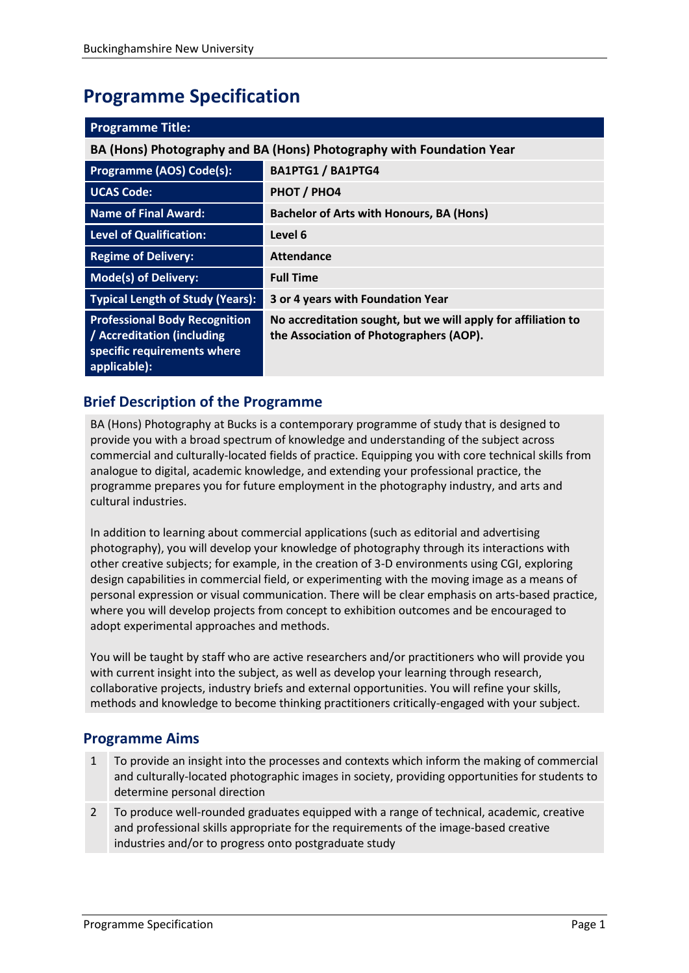# **Programme Specification**

| <b>Programme Title:</b>                                                                                           |                                                                                                          |  |
|-------------------------------------------------------------------------------------------------------------------|----------------------------------------------------------------------------------------------------------|--|
| BA (Hons) Photography and BA (Hons) Photography with Foundation Year                                              |                                                                                                          |  |
| Programme (AOS) Code(s):                                                                                          | <b>BA1PTG1 / BA1PTG4</b>                                                                                 |  |
| <b>UCAS Code:</b>                                                                                                 | PHOT / PHO4                                                                                              |  |
| <b>Name of Final Award:</b>                                                                                       | <b>Bachelor of Arts with Honours, BA (Hons)</b>                                                          |  |
| <b>Level of Qualification:</b>                                                                                    | Level 6                                                                                                  |  |
| <b>Regime of Delivery:</b>                                                                                        | <b>Attendance</b>                                                                                        |  |
| <b>Mode(s) of Delivery:</b>                                                                                       | <b>Full Time</b>                                                                                         |  |
| <b>Typical Length of Study (Years):</b>                                                                           | 3 or 4 years with Foundation Year                                                                        |  |
| <b>Professional Body Recognition</b><br>/ Accreditation (including<br>specific requirements where<br>applicable): | No accreditation sought, but we will apply for affiliation to<br>the Association of Photographers (AOP). |  |

# **Brief Description of the Programme**

BA (Hons) Photography at Bucks is a contemporary programme of study that is designed to provide you with a broad spectrum of knowledge and understanding of the subject across commercial and culturally-located fields of practice. Equipping you with core technical skills from analogue to digital, academic knowledge, and extending your professional practice, the programme prepares you for future employment in the photography industry, and arts and cultural industries.

In addition to learning about commercial applications (such as editorial and advertising photography), you will develop your knowledge of photography through its interactions with other creative subjects; for example, in the creation of 3-D environments using CGI, exploring design capabilities in commercial field, or experimenting with the moving image as a means of personal expression or visual communication. There will be clear emphasis on arts-based practice, where you will develop projects from concept to exhibition outcomes and be encouraged to adopt experimental approaches and methods.

You will be taught by staff who are active researchers and/or practitioners who will provide you with current insight into the subject, as well as develop your learning through research, collaborative projects, industry briefs and external opportunities. You will refine your skills, methods and knowledge to become thinking practitioners critically-engaged with your subject.

# **Programme Aims**

- 1 To provide an insight into the processes and contexts which inform the making of commercial and culturally-located photographic images in society, providing opportunities for students to determine personal direction
- 2 To produce well-rounded graduates equipped with a range of technical, academic, creative and professional skills appropriate for the requirements of the image-based creative industries and/or to progress onto postgraduate study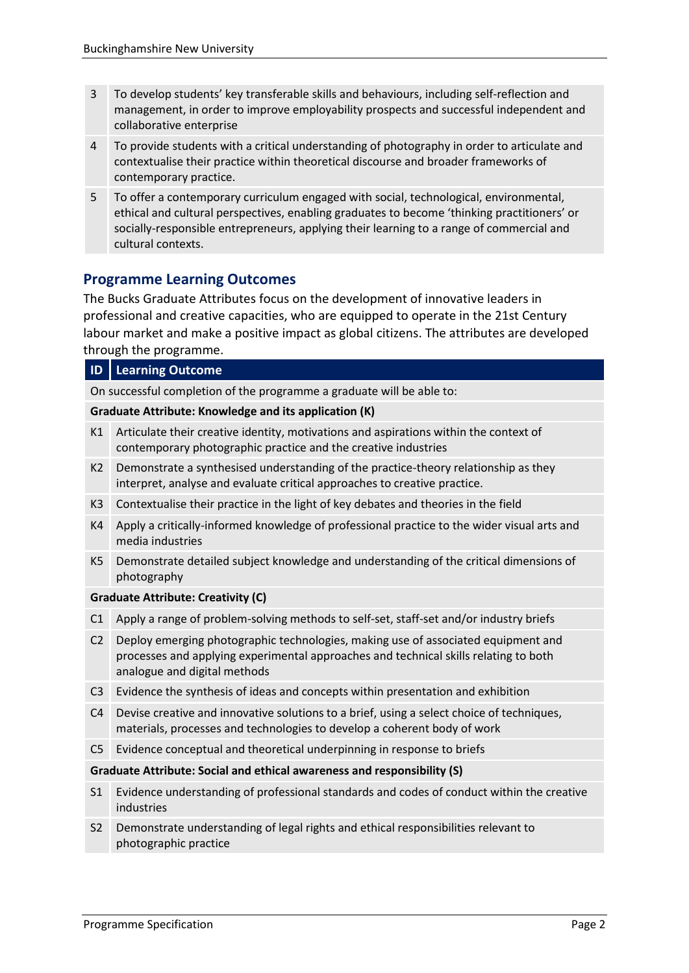- 3 To develop students' key transferable skills and behaviours, including self-reflection and management, in order to improve employability prospects and successful independent and collaborative enterprise
- 4 To provide students with a critical understanding of photography in order to articulate and contextualise their practice within theoretical discourse and broader frameworks of contemporary practice.
- 5 To offer a contemporary curriculum engaged with social, technological, environmental, ethical and cultural perspectives, enabling graduates to become 'thinking practitioners' or socially-responsible entrepreneurs, applying their learning to a range of commercial and cultural contexts.

# **Programme Learning Outcomes**

The Bucks Graduate Attributes focus on the development of innovative leaders in professional and creative capacities, who are equipped to operate in the 21st Century labour market and make a positive impact as global citizens. The attributes are developed through the programme.

#### **ID Learning Outcome**

On successful completion of the programme a graduate will be able to:

#### **Graduate Attribute: Knowledge and its application (K)**

- K1 Articulate their creative identity, motivations and aspirations within the context of contemporary photographic practice and the creative industries
- K2 Demonstrate a synthesised understanding of the practice-theory relationship as they interpret, analyse and evaluate critical approaches to creative practice.
- K3 Contextualise their practice in the light of key debates and theories in the field
- K4 Apply a critically-informed knowledge of professional practice to the wider visual arts and media industries
- K5 Demonstrate detailed subject knowledge and understanding of the critical dimensions of photography

#### **Graduate Attribute: Creativity (C)**

- C1 Apply a range of problem-solving methods to self-set, staff-set and/or industry briefs
- C2 Deploy emerging photographic technologies, making use of associated equipment and processes and applying experimental approaches and technical skills relating to both analogue and digital methods
- C3 Evidence the synthesis of ideas and concepts within presentation and exhibition
- C4 Devise creative and innovative solutions to a brief, using a select choice of techniques, materials, processes and technologies to develop a coherent body of work
- C5 Evidence conceptual and theoretical underpinning in response to briefs

#### **Graduate Attribute: Social and ethical awareness and responsibility (S)**

- S1 Evidence understanding of professional standards and codes of conduct within the creative industries
- S2 Demonstrate understanding of legal rights and ethical responsibilities relevant to photographic practice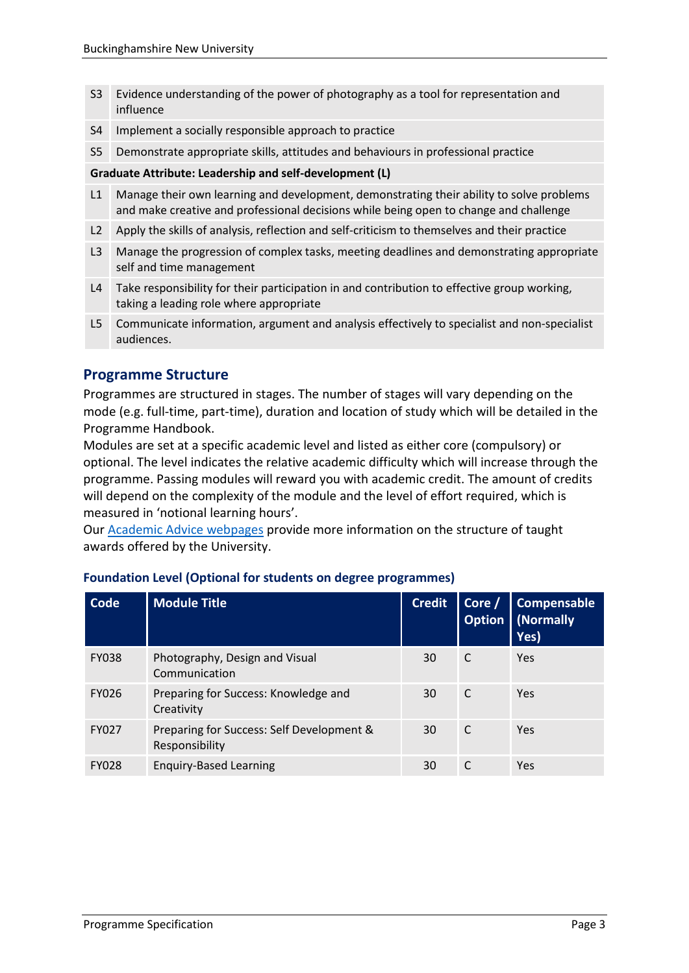- S3 Evidence understanding of the power of photography as a tool for representation and influence
- S4 Implement a socially responsible approach to practice
- S5 Demonstrate appropriate skills, attitudes and behaviours in professional practice

#### **Graduate Attribute: Leadership and self-development (L)**

- L1 Manage their own learning and development, demonstrating their ability to solve problems and make creative and professional decisions while being open to change and challenge
- L2 Apply the skills of analysis, reflection and self-criticism to themselves and their practice
- L3 Manage the progression of complex tasks, meeting deadlines and demonstrating appropriate self and time management
- L4 Take responsibility for their participation in and contribution to effective group working, taking a leading role where appropriate
- L5 Communicate information, argument and analysis effectively to specialist and non-specialist audiences.

# **Programme Structure**

Programmes are structured in stages. The number of stages will vary depending on the mode (e.g. full-time, part-time), duration and location of study which will be detailed in the Programme Handbook.

Modules are set at a specific academic level and listed as either core (compulsory) or optional. The level indicates the relative academic difficulty which will increase through the programme. Passing modules will reward you with academic credit. The amount of credits will depend on the complexity of the module and the level of effort required, which is measured in 'notional learning hours'.

Our [Academic Advice webpages](https://bucks.ac.uk/students/academicadvice/course-structure-and-regulations/how-your-course-is-structured) provide more information on the structure of taught awards offered by the University.

| Code         | <b>Module Title</b>                                         | <b>Credit</b> | Core $/$<br><b>Option</b> | <b>Compensable</b><br>(Normally<br>Yes) |
|--------------|-------------------------------------------------------------|---------------|---------------------------|-----------------------------------------|
| <b>FY038</b> | Photography, Design and Visual<br>Communication             | 30            | C                         | Yes                                     |
| <b>FY026</b> | Preparing for Success: Knowledge and<br>Creativity          | 30            | C                         | Yes                                     |
| <b>FY027</b> | Preparing for Success: Self Development &<br>Responsibility | 30            | C                         | Yes                                     |
| <b>FY028</b> | <b>Enquiry-Based Learning</b>                               | 30            |                           | Yes                                     |

#### **Foundation Level (Optional for students on degree programmes)**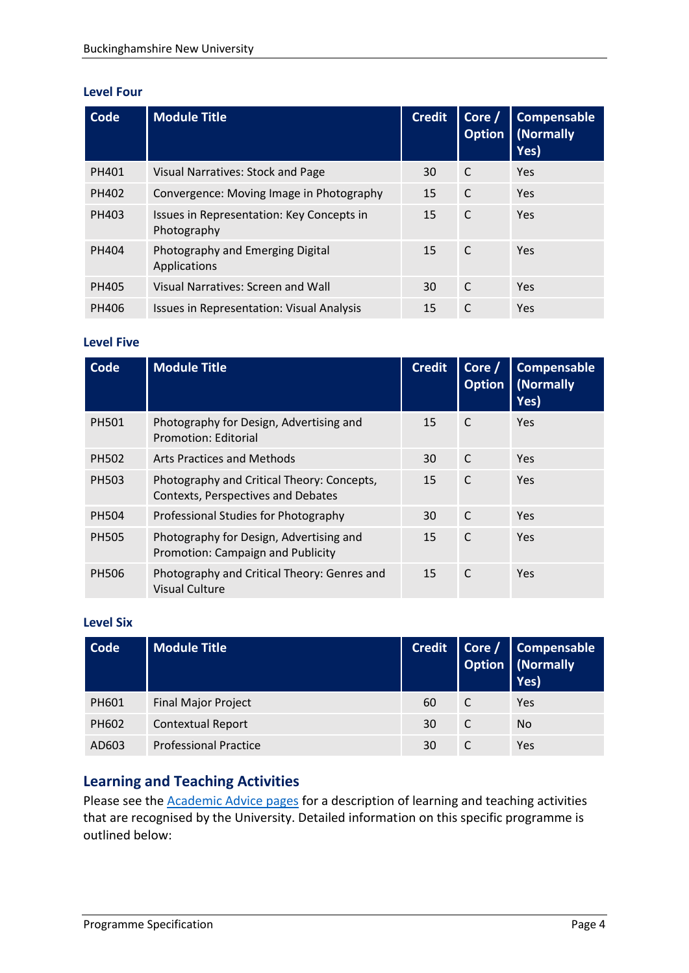#### **Level Four**

| Code  | <b>Module Title</b>                                      | <b>Credit</b> | Core /<br><b>Option</b> | Compensable<br>(Normally<br>Yes) |
|-------|----------------------------------------------------------|---------------|-------------------------|----------------------------------|
| PH401 | Visual Narratives: Stock and Page                        | 30            | C                       | Yes                              |
| PH402 | Convergence: Moving Image in Photography                 | 15            | C                       | Yes                              |
| PH403 | Issues in Representation: Key Concepts in<br>Photography | 15            | C                       | Yes                              |
| PH404 | Photography and Emerging Digital<br>Applications         | 15            | C                       | Yes                              |
| PH405 | Visual Narratives: Screen and Wall                       | 30            | C                       | Yes                              |
| PH406 | <b>Issues in Representation: Visual Analysis</b>         | 15            | C                       | Yes                              |

#### **Level Five**

| Code         | <b>Module Title</b>                                                              | <b>Credit</b> | Core /<br><b>Option</b> | <b>Compensable</b><br>(Normally<br>Yes) |
|--------------|----------------------------------------------------------------------------------|---------------|-------------------------|-----------------------------------------|
| <b>PH501</b> | Photography for Design, Advertising and<br>Promotion: Editorial                  | 15            | C                       | Yes                                     |
| PH502        | Arts Practices and Methods                                                       | 30            | C                       | Yes                                     |
| PH503        | Photography and Critical Theory: Concepts,<br>Contexts, Perspectives and Debates | 15            | C                       | Yes                                     |
| <b>PH504</b> | Professional Studies for Photography                                             | 30            | C                       | Yes                                     |
| <b>PH505</b> | Photography for Design, Advertising and<br>Promotion: Campaign and Publicity     | 15            | C                       | Yes                                     |
| <b>PH506</b> | Photography and Critical Theory: Genres and<br>Visual Culture                    | 15            | C                       | Yes                                     |

#### **Level Six**

| Code  | <b>Module Title</b>          |    |   | Credit   Core / Compensable<br>Option   (Normally<br>Yes) |
|-------|------------------------------|----|---|-----------------------------------------------------------|
| PH601 | <b>Final Major Project</b>   | 60 | C | Yes                                                       |
| PH602 | <b>Contextual Report</b>     | 30 | C | No                                                        |
| AD603 | <b>Professional Practice</b> | 30 |   | Yes                                                       |

# **Learning and Teaching Activities**

Please see the [Academic Advice pages](https://bucks.ac.uk/students/academicadvice/course-structure-and-regulations/learning-and-teaching-activities) for a description of learning and teaching activities that are recognised by the University. Detailed information on this specific programme is outlined below: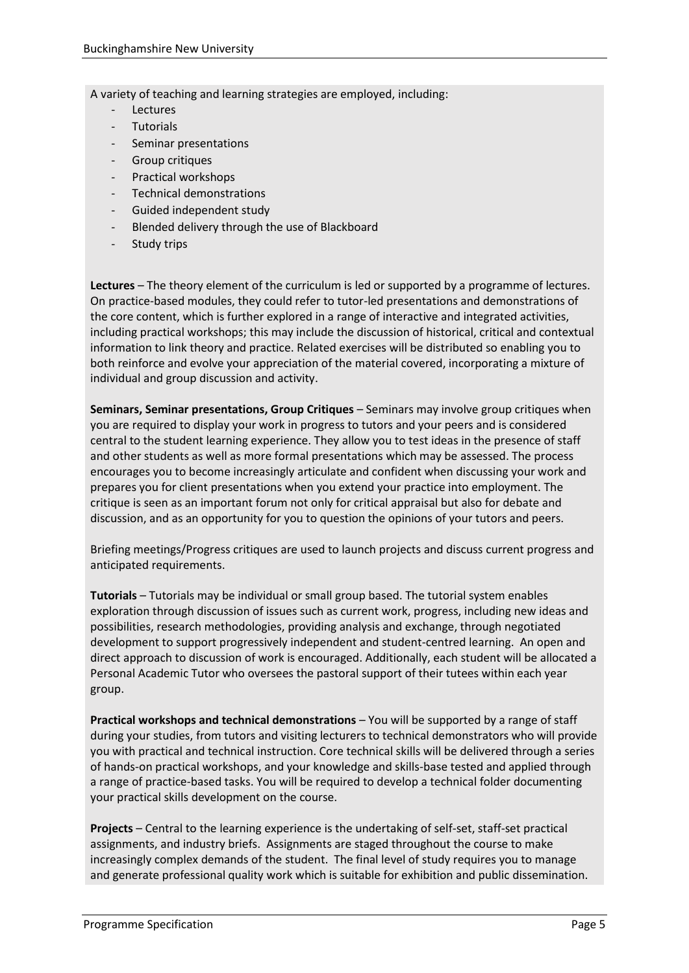A variety of teaching and learning strategies are employed, including:

- **Lectures**
- **Tutorials**
- Seminar presentations
- Group critiques
- Practical workshops
- Technical demonstrations
- Guided independent study
- Blended delivery through the use of Blackboard
- Study trips

**Lectures** – The theory element of the curriculum is led or supported by a programme of lectures. On practice-based modules, they could refer to tutor-led presentations and demonstrations of the core content, which is further explored in a range of interactive and integrated activities, including practical workshops; this may include the discussion of historical, critical and contextual information to link theory and practice. Related exercises will be distributed so enabling you to both reinforce and evolve your appreciation of the material covered, incorporating a mixture of individual and group discussion and activity.

**Seminars, Seminar presentations, Group Critiques** – Seminars may involve group critiques when you are required to display your work in progress to tutors and your peers and is considered central to the student learning experience. They allow you to test ideas in the presence of staff and other students as well as more formal presentations which may be assessed. The process encourages you to become increasingly articulate and confident when discussing your work and prepares you for client presentations when you extend your practice into employment. The critique is seen as an important forum not only for critical appraisal but also for debate and discussion, and as an opportunity for you to question the opinions of your tutors and peers.

Briefing meetings/Progress critiques are used to launch projects and discuss current progress and anticipated requirements.

**Tutorials** – Tutorials may be individual or small group based. The tutorial system enables exploration through discussion of issues such as current work, progress, including new ideas and possibilities, research methodologies, providing analysis and exchange, through negotiated development to support progressively independent and student-centred learning. An open and direct approach to discussion of work is encouraged. Additionally, each student will be allocated a Personal Academic Tutor who oversees the pastoral support of their tutees within each year group.

**Practical workshops and technical demonstrations** – You will be supported by a range of staff during your studies, from tutors and visiting lecturers to technical demonstrators who will provide you with practical and technical instruction. Core technical skills will be delivered through a series of hands-on practical workshops, and your knowledge and skills-base tested and applied through a range of practice-based tasks. You will be required to develop a technical folder documenting your practical skills development on the course.

**Projects** – Central to the learning experience is the undertaking of self-set, staff-set practical assignments, and industry briefs. Assignments are staged throughout the course to make increasingly complex demands of the student. The final level of study requires you to manage and generate professional quality work which is suitable for exhibition and public dissemination.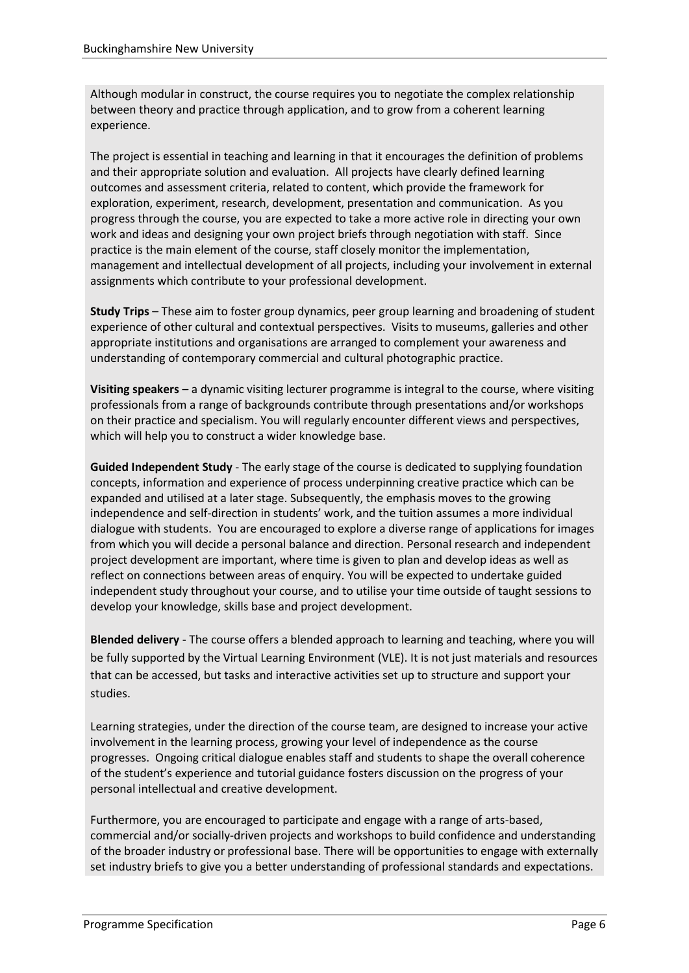Although modular in construct, the course requires you to negotiate the complex relationship between theory and practice through application, and to grow from a coherent learning experience.

The project is essential in teaching and learning in that it encourages the definition of problems and their appropriate solution and evaluation. All projects have clearly defined learning outcomes and assessment criteria, related to content, which provide the framework for exploration, experiment, research, development, presentation and communication. As you progress through the course, you are expected to take a more active role in directing your own work and ideas and designing your own project briefs through negotiation with staff. Since practice is the main element of the course, staff closely monitor the implementation, management and intellectual development of all projects, including your involvement in external assignments which contribute to your professional development.

**Study Trips** – These aim to foster group dynamics, peer group learning and broadening of student experience of other cultural and contextual perspectives. Visits to museums, galleries and other appropriate institutions and organisations are arranged to complement your awareness and understanding of contemporary commercial and cultural photographic practice.

**Visiting speakers** – a dynamic visiting lecturer programme is integral to the course, where visiting professionals from a range of backgrounds contribute through presentations and/or workshops on their practice and specialism. You will regularly encounter different views and perspectives, which will help you to construct a wider knowledge base.

**Guided Independent Study** - The early stage of the course is dedicated to supplying foundation concepts, information and experience of process underpinning creative practice which can be expanded and utilised at a later stage. Subsequently, the emphasis moves to the growing independence and self-direction in students' work, and the tuition assumes a more individual dialogue with students. You are encouraged to explore a diverse range of applications for images from which you will decide a personal balance and direction. Personal research and independent project development are important, where time is given to plan and develop ideas as well as reflect on connections between areas of enquiry. You will be expected to undertake guided independent study throughout your course, and to utilise your time outside of taught sessions to develop your knowledge, skills base and project development.

**Blended delivery** - The course offers a blended approach to learning and teaching, where you will be fully supported by the Virtual Learning Environment (VLE). It is not just materials and resources that can be accessed, but tasks and interactive activities set up to structure and support your studies.

Learning strategies, under the direction of the course team, are designed to increase your active involvement in the learning process, growing your level of independence as the course progresses. Ongoing critical dialogue enables staff and students to shape the overall coherence of the student's experience and tutorial guidance fosters discussion on the progress of your personal intellectual and creative development.

Furthermore, you are encouraged to participate and engage with a range of arts-based, commercial and/or socially-driven projects and workshops to build confidence and understanding of the broader industry or professional base. There will be opportunities to engage with externally set industry briefs to give you a better understanding of professional standards and expectations.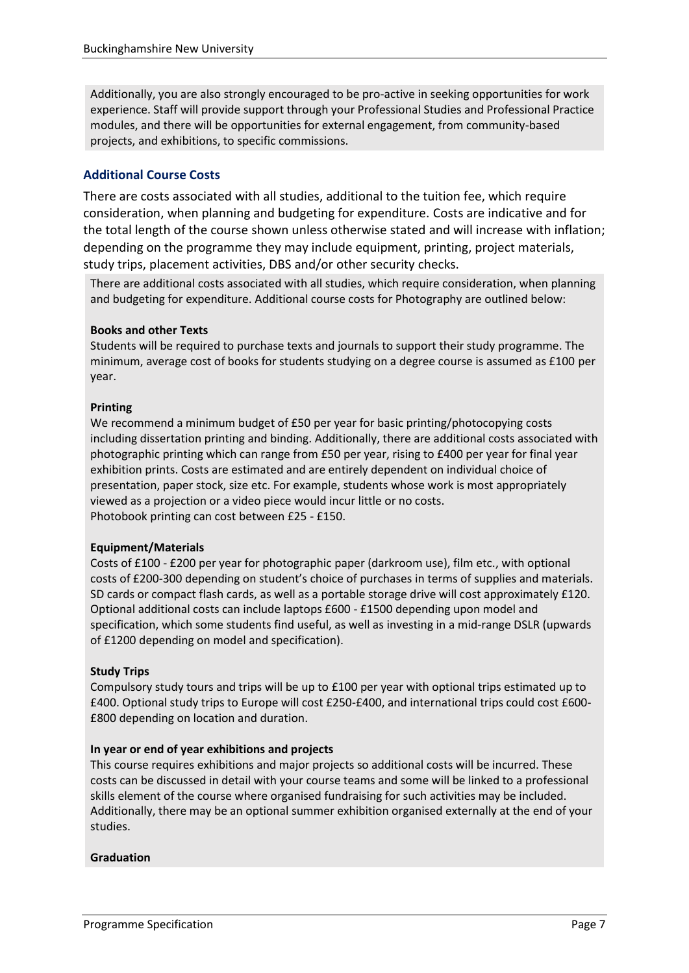Additionally, you are also strongly encouraged to be pro-active in seeking opportunities for work experience. Staff will provide support through your Professional Studies and Professional Practice modules, and there will be opportunities for external engagement, from community-based projects, and exhibitions, to specific commissions.

#### **Additional Course Costs**

There are costs associated with all studies, additional to the tuition fee, which require consideration, when planning and budgeting for expenditure. Costs are indicative and for the total length of the course shown unless otherwise stated and will increase with inflation; depending on the programme they may include equipment, printing, project materials, study trips, placement activities, DBS and/or other security checks.

There are additional costs associated with all studies, which require consideration, when planning and budgeting for expenditure. Additional course costs for Photography are outlined below:

#### **Books and other Texts**

Students will be required to purchase texts and journals to support their study programme. The minimum, average cost of books for students studying on a degree course is assumed as £100 per year.

#### **Printing**

We recommend a minimum budget of £50 per year for basic printing/photocopying costs including dissertation printing and binding. Additionally, there are additional costs associated with photographic printing which can range from £50 per year, rising to £400 per year for final year exhibition prints. Costs are estimated and are entirely dependent on individual choice of presentation, paper stock, size etc. For example, students whose work is most appropriately viewed as a projection or a video piece would incur little or no costs. Photobook printing can cost between £25 - £150.

#### **Equipment/Materials**

Costs of £100 - £200 per year for photographic paper (darkroom use), film etc., with optional costs of £200-300 depending on student's choice of purchases in terms of supplies and materials. SD cards or compact flash cards, as well as a portable storage drive will cost approximately £120. Optional additional costs can include laptops £600 - £1500 depending upon model and specification, which some students find useful, as well as investing in a mid-range DSLR (upwards of £1200 depending on model and specification).

#### **Study Trips**

Compulsory study tours and trips will be up to £100 per year with optional trips estimated up to £400. Optional study trips to Europe will cost £250-£400, and international trips could cost £600- £800 depending on location and duration.

#### **In year or end of year exhibitions and projects**

This course requires exhibitions and major projects so additional costs will be incurred. These costs can be discussed in detail with your course teams and some will be linked to a professional skills element of the course where organised fundraising for such activities may be included. Additionally, there may be an optional summer exhibition organised externally at the end of your studies.

#### **Graduation**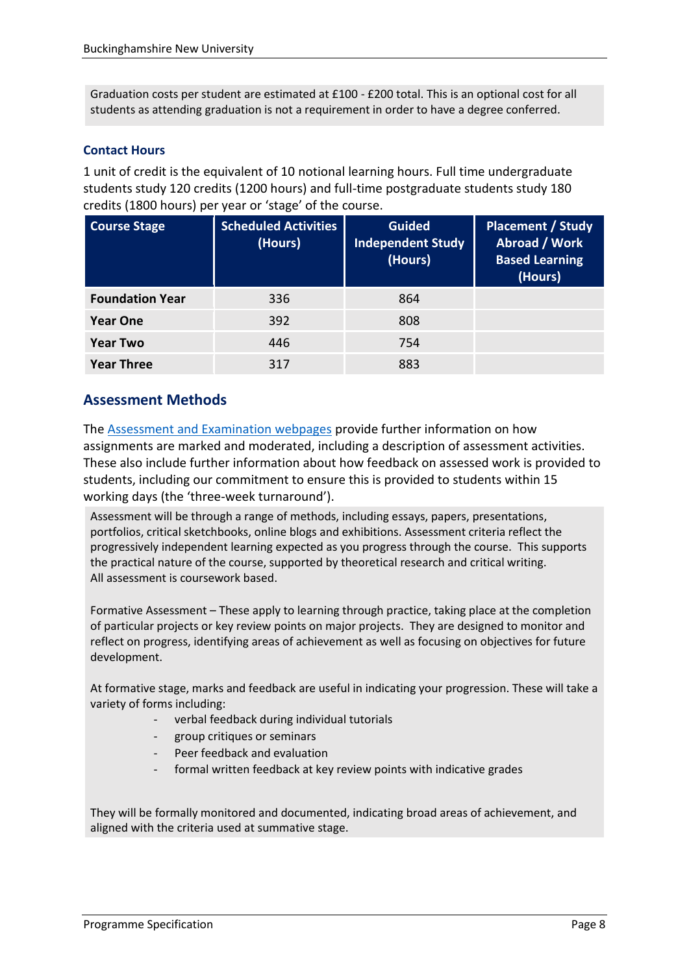Graduation costs per student are estimated at £100 - £200 total. This is an optional cost for all students as attending graduation is not a requirement in order to have a degree conferred.

#### **Contact Hours**

1 unit of credit is the equivalent of 10 notional learning hours. Full time undergraduate students study 120 credits (1200 hours) and full-time postgraduate students study 180 credits (1800 hours) per year or 'stage' of the course.

| <b>Course Stage</b>    | <b>Scheduled Activities</b><br>(Hours) | <b>Guided</b><br><b>Independent Study</b><br>(Hours) | <b>Placement / Study</b><br><b>Abroad / Work</b><br><b>Based Learning</b><br>(Hours) |
|------------------------|----------------------------------------|------------------------------------------------------|--------------------------------------------------------------------------------------|
| <b>Foundation Year</b> | 336                                    | 864                                                  |                                                                                      |
| <b>Year One</b>        | 392                                    | 808                                                  |                                                                                      |
| <b>Year Two</b>        | 446                                    | 754                                                  |                                                                                      |
| <b>Year Three</b>      | 317                                    | 883                                                  |                                                                                      |

# **Assessment Methods**

The [Assessment and Examination webpages](https://bucks.ac.uk/students/academicadvice/assessment-and-examination) provide further information on how assignments are marked and moderated, including a description of assessment activities. These also include further information about how feedback on assessed work is provided to students, including our commitment to ensure this is provided to students within 15 working days (the 'three-week turnaround').

Assessment will be through a range of methods, including essays, papers, presentations, portfolios, critical sketchbooks, online blogs and exhibitions. Assessment criteria reflect the progressively independent learning expected as you progress through the course. This supports the practical nature of the course, supported by theoretical research and critical writing. All assessment is coursework based.

Formative Assessment – These apply to learning through practice, taking place at the completion of particular projects or key review points on major projects. They are designed to monitor and reflect on progress, identifying areas of achievement as well as focusing on objectives for future development.

At formative stage, marks and feedback are useful in indicating your progression. These will take a variety of forms including:

- verbal feedback during individual tutorials
- group critiques or seminars
- Peer feedback and evaluation
- formal written feedback at key review points with indicative grades

They will be formally monitored and documented, indicating broad areas of achievement, and aligned with the criteria used at summative stage.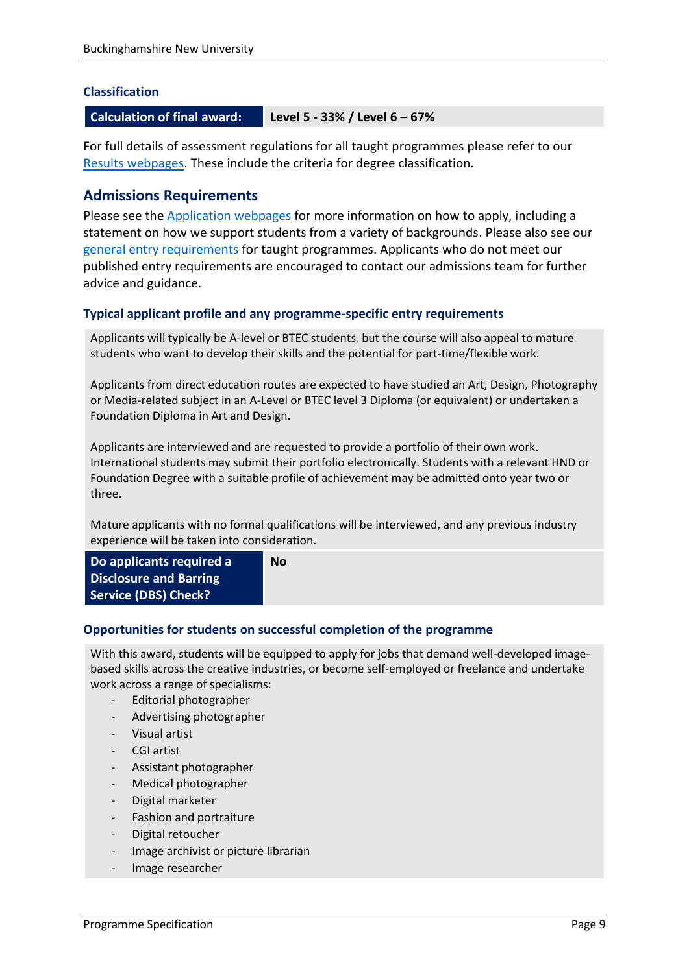#### **Classification**

#### **Calculation of final award: Level 5 - 33% / Level 6 – 67%**

For full details of assessment regulations for all taught programmes please refer to our [Results webpages.](https://bucks.ac.uk/students/academicadvice/results) These include the criteria for degree classification.

#### **Admissions Requirements**

Please see the [Application webpages](https://bucks.ac.uk/applying-to-bucks) for more information on how to apply, including a statement on how we support students from a variety of backgrounds. Please also see our [general entry requirements](https://bucks.ac.uk/applying-to-bucks/general-entry-requirements) for taught programmes. Applicants who do not meet our published entry requirements are encouraged to contact our admissions team for further advice and guidance.

#### **Typical applicant profile and any programme-specific entry requirements**

Applicants will typically be A-level or BTEC students, but the course will also appeal to mature students who want to develop their skills and the potential for part-time/flexible work.

Applicants from direct education routes are expected to have studied an Art, Design, Photography or Media-related subject in an A-Level or BTEC level 3 Diploma (or equivalent) or undertaken a Foundation Diploma in Art and Design.

Applicants are interviewed and are requested to provide a portfolio of their own work. International students may submit their portfolio electronically. Students with a relevant HND or Foundation Degree with a suitable profile of achievement may be admitted onto year two or three.

Mature applicants with no formal qualifications will be interviewed, and any previous industry experience will be taken into consideration.

| Do applicants required a<br>No<br>Disclosure and Barring<br>Service (DBS) Check? |  |
|----------------------------------------------------------------------------------|--|
|----------------------------------------------------------------------------------|--|

#### **Opportunities for students on successful completion of the programme**

With this award, students will be equipped to apply for jobs that demand well-developed imagebased skills across the creative industries, or become self-employed or freelance and undertake work across a range of specialisms:

- Editorial photographer
- Advertising photographer
- Visual artist
- CGI artist
- Assistant photographer
- Medical photographer
- Digital marketer
- Fashion and portraiture
- Digital retoucher
- Image archivist or picture librarian
- Image researcher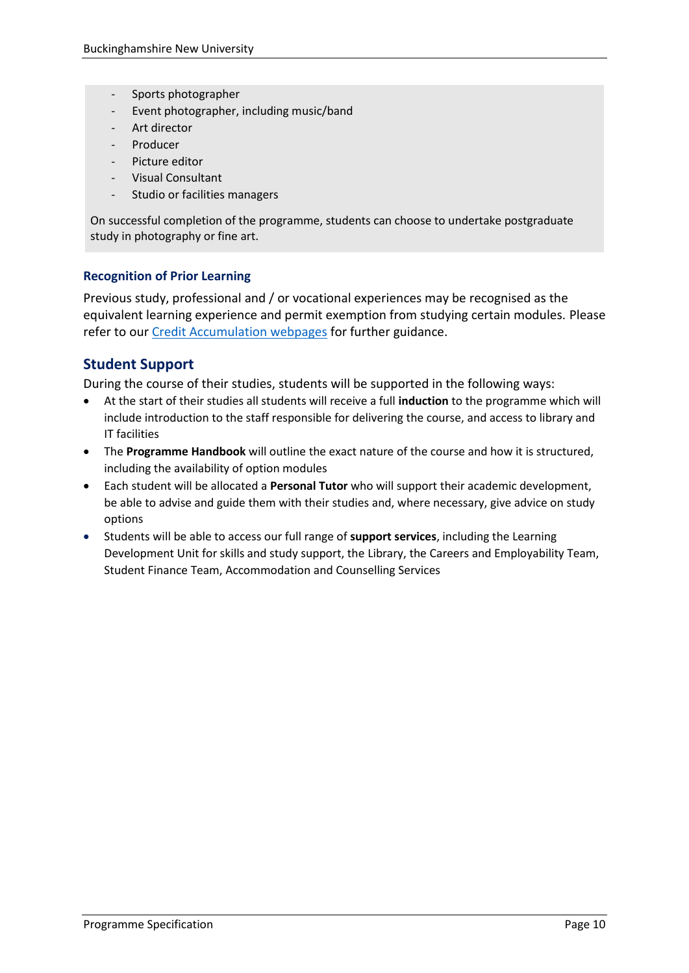- Sports photographer
- Event photographer, including music/band
- Art director
- Producer
- Picture editor
- Visual Consultant
- Studio or facilities managers

On successful completion of the programme, students can choose to undertake postgraduate study in photography or fine art.

#### **Recognition of Prior Learning**

Previous study, professional and / or vocational experiences may be recognised as the equivalent learning experience and permit exemption from studying certain modules. Please refer to our [Credit Accumulation webpages](https://bucks.ac.uk/students/academicadvice/managing-your-studies/credit-accumulation) for further guidance.

# **Student Support**

During the course of their studies, students will be supported in the following ways:

- At the start of their studies all students will receive a full **induction** to the programme which will include introduction to the staff responsible for delivering the course, and access to library and IT facilities
- The **Programme Handbook** will outline the exact nature of the course and how it is structured, including the availability of option modules
- Each student will be allocated a **Personal Tutor** who will support their academic development, be able to advise and guide them with their studies and, where necessary, give advice on study options
- Students will be able to access our full range of **support services**, including the Learning Development Unit for skills and study support, the Library, the Careers and Employability Team, Student Finance Team, Accommodation and Counselling Services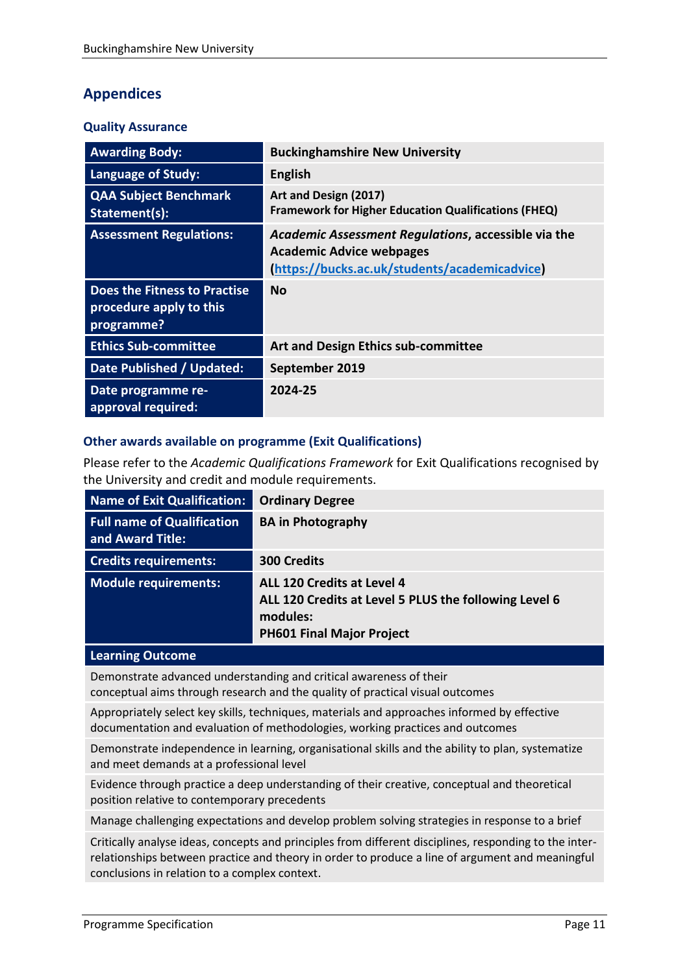# **Appendices**

#### **Quality Assurance**

| <b>Awarding Body:</b>                                                 | <b>Buckinghamshire New University</b>                                                                                                   |
|-----------------------------------------------------------------------|-----------------------------------------------------------------------------------------------------------------------------------------|
| <b>Language of Study:</b>                                             | <b>English</b>                                                                                                                          |
| <b>QAA Subject Benchmark</b><br>Statement(s):                         | Art and Design (2017)<br><b>Framework for Higher Education Qualifications (FHEQ)</b>                                                    |
| <b>Assessment Regulations:</b>                                        | Academic Assessment Regulations, accessible via the<br><b>Academic Advice webpages</b><br>(https://bucks.ac.uk/students/academicadvice) |
| Does the Fitness to Practise<br>procedure apply to this<br>programme? | <b>No</b>                                                                                                                               |
| <b>Ethics Sub-committee</b>                                           | Art and Design Ethics sub-committee                                                                                                     |
| Date Published / Updated:                                             | September 2019                                                                                                                          |
| Date programme re-<br>approval required:                              | 2024-25                                                                                                                                 |

#### **Other awards available on programme (Exit Qualifications)**

Please refer to the *Academic Qualifications Framework* for Exit Qualifications recognised by the University and credit and module requirements.

| <b>Name of Exit Qualification:</b>                    | <b>Ordinary Degree</b>                                                                                                              |
|-------------------------------------------------------|-------------------------------------------------------------------------------------------------------------------------------------|
| <b>Full name of Qualification</b><br>and Award Title: | <b>BA in Photography</b>                                                                                                            |
| <b>Credits requirements:</b>                          | <b>300 Credits</b>                                                                                                                  |
| <b>Module requirements:</b>                           | ALL 120 Credits at Level 4<br>ALL 120 Credits at Level 5 PLUS the following Level 6<br>modules:<br><b>PH601 Final Major Project</b> |

#### **Learning Outcome**

Demonstrate advanced understanding and critical awareness of their conceptual aims through research and the quality of practical visual outcomes

Appropriately select key skills, techniques, materials and approaches informed by effective documentation and evaluation of methodologies, working practices and outcomes

Demonstrate independence in learning, organisational skills and the ability to plan, systematize and meet demands at a professional level

Evidence through practice a deep understanding of their creative, conceptual and theoretical position relative to contemporary precedents

Manage challenging expectations and develop problem solving strategies in response to a brief

Critically analyse ideas, concepts and principles from different disciplines, responding to the interrelationships between practice and theory in order to produce a line of argument and meaningful conclusions in relation to a complex context.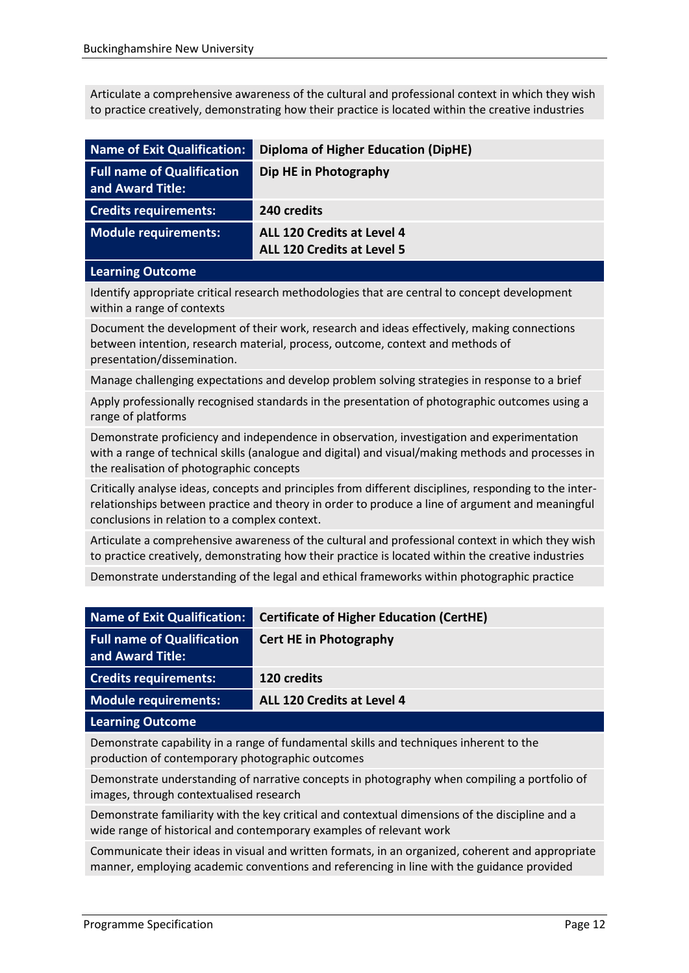Articulate a comprehensive awareness of the cultural and professional context in which they wish to practice creatively, demonstrating how their practice is located within the creative industries

| Name of Exit Qualification:                           | <b>Diploma of Higher Education (DipHE)</b>                             |
|-------------------------------------------------------|------------------------------------------------------------------------|
| <b>Full name of Qualification</b><br>and Award Title: | Dip HE in Photography                                                  |
| <b>Credits requirements:</b>                          | 240 credits                                                            |
| Module requirements:                                  | <b>ALL 120 Credits at Level 4</b><br><b>ALL 120 Credits at Level 5</b> |

#### **Learning Outcome**

Identify appropriate critical research methodologies that are central to concept development within a range of contexts

Document the development of their work, research and ideas effectively, making connections between intention, research material, process, outcome, context and methods of presentation/dissemination.

Manage challenging expectations and develop problem solving strategies in response to a brief

Apply professionally recognised standards in the presentation of photographic outcomes using a range of platforms

Demonstrate proficiency and independence in observation, investigation and experimentation with a range of technical skills (analogue and digital) and visual/making methods and processes in the realisation of photographic concepts

Critically analyse ideas, concepts and principles from different disciplines, responding to the interrelationships between practice and theory in order to produce a line of argument and meaningful conclusions in relation to a complex context.

Articulate a comprehensive awareness of the cultural and professional context in which they wish to practice creatively, demonstrating how their practice is located within the creative industries

Demonstrate understanding of the legal and ethical frameworks within photographic practice

| <b>Name of Exit Qualification:</b>                    | <b>Certificate of Higher Education (CertHE)</b> |
|-------------------------------------------------------|-------------------------------------------------|
| <b>Full name of Qualification</b><br>and Award Title: | <b>Cert HE in Photography</b>                   |
| <b>Credits requirements:</b>                          | 120 credits                                     |
| <b>Module requirements:</b>                           | ALL 120 Credits at Level 4                      |
| <b>Learning Outcome</b>                               |                                                 |

Demonstrate capability in a range of fundamental skills and techniques inherent to the production of contemporary photographic outcomes

Demonstrate understanding of narrative concepts in photography when compiling a portfolio of images, through contextualised research

Demonstrate familiarity with the key critical and contextual dimensions of the discipline and a wide range of historical and contemporary examples of relevant work

Communicate their ideas in visual and written formats, in an organized, coherent and appropriate manner, employing academic conventions and referencing in line with the guidance provided